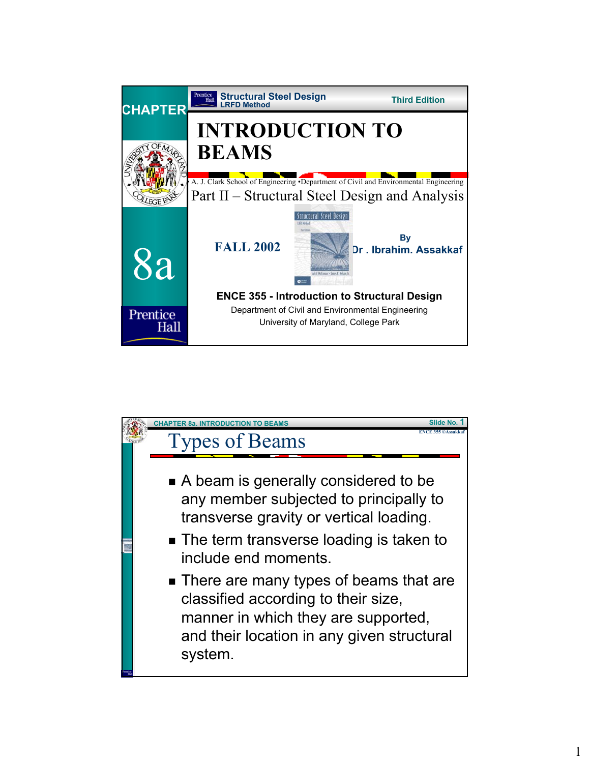

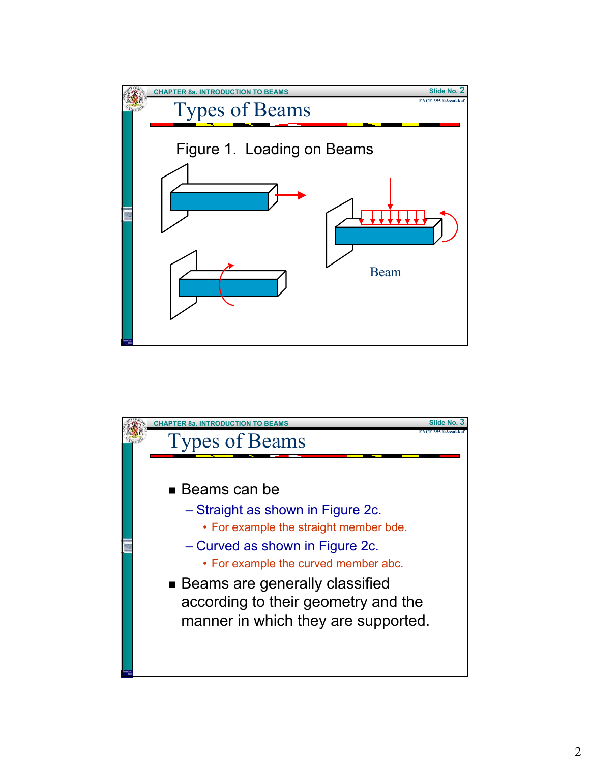

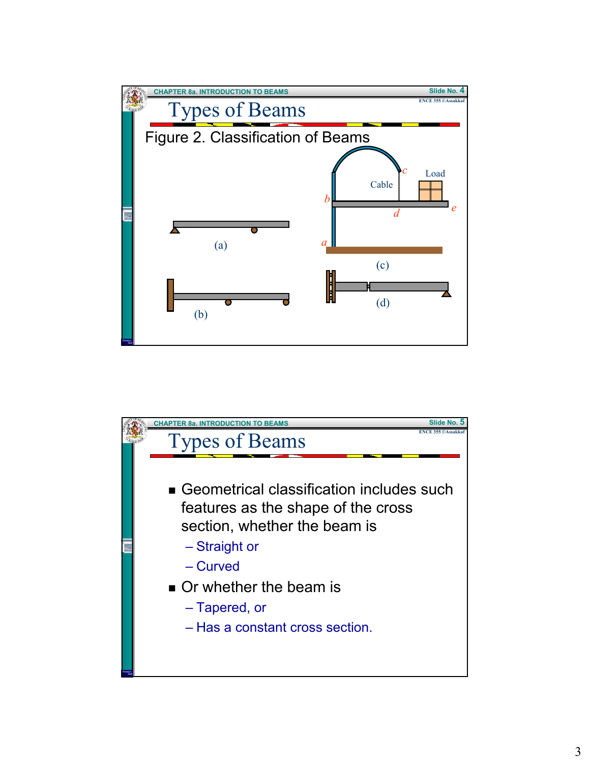

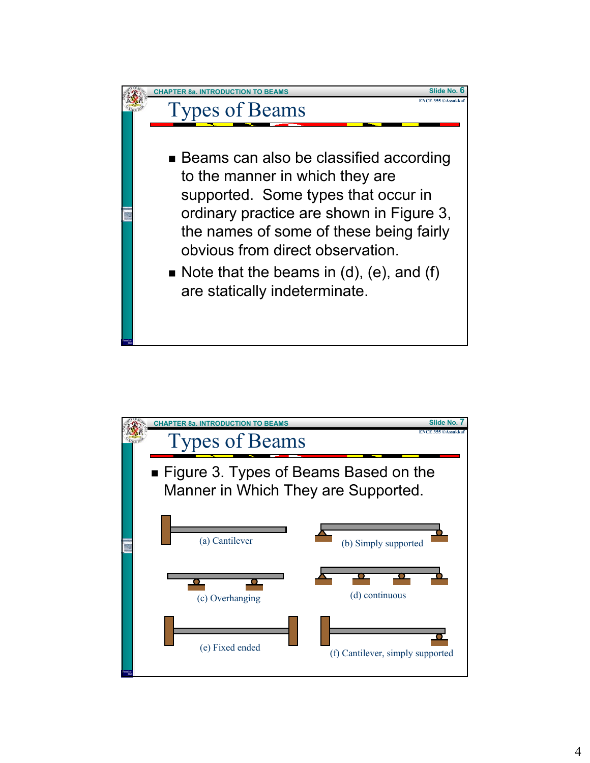

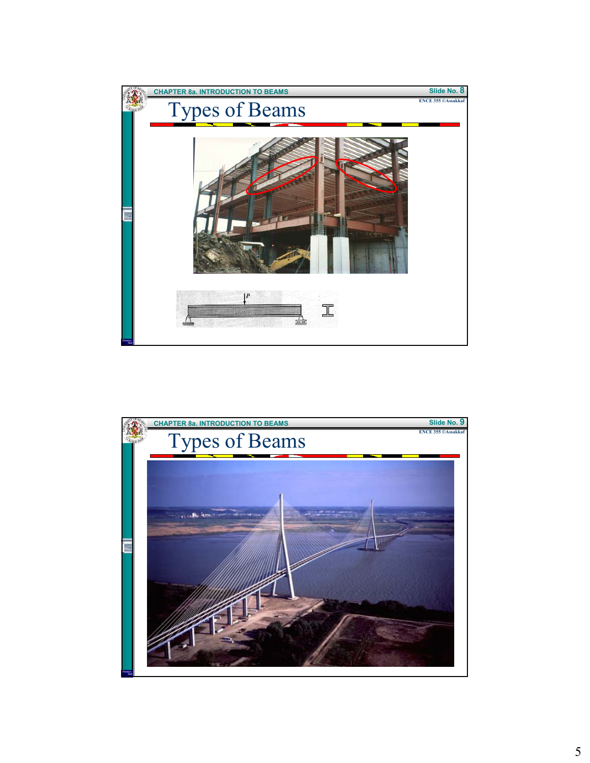

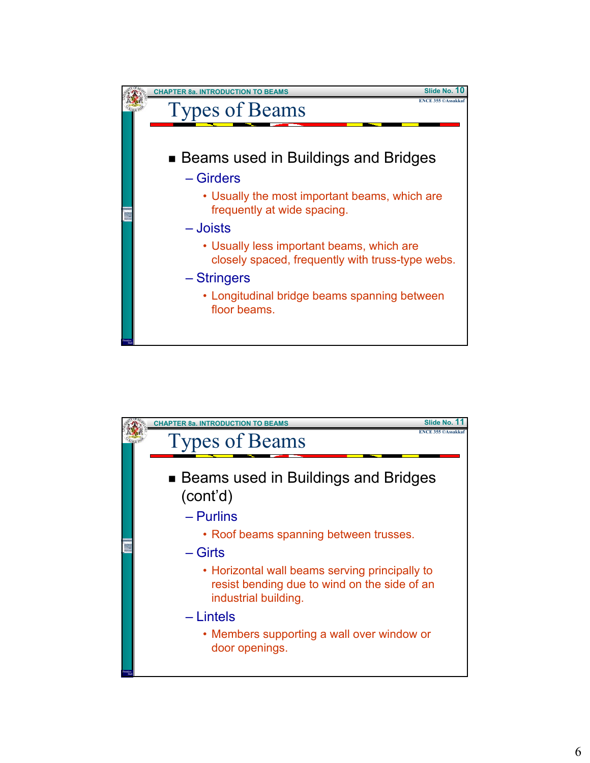

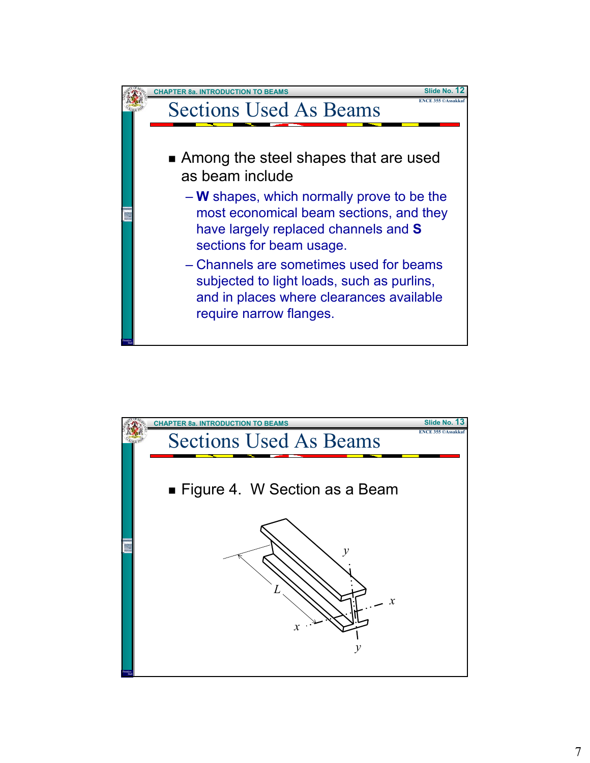

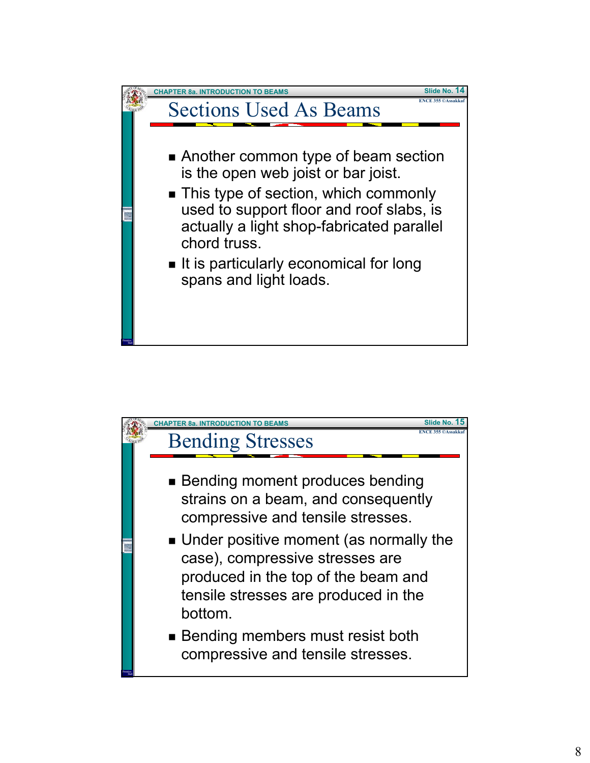

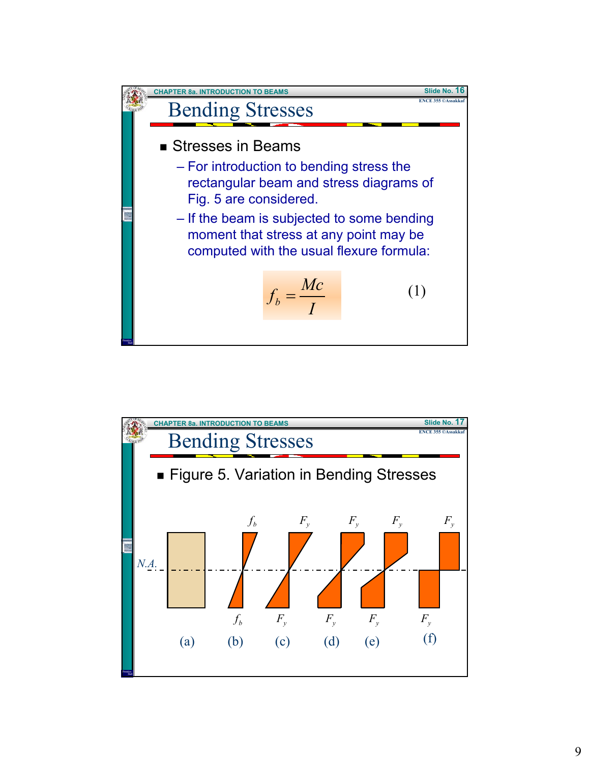

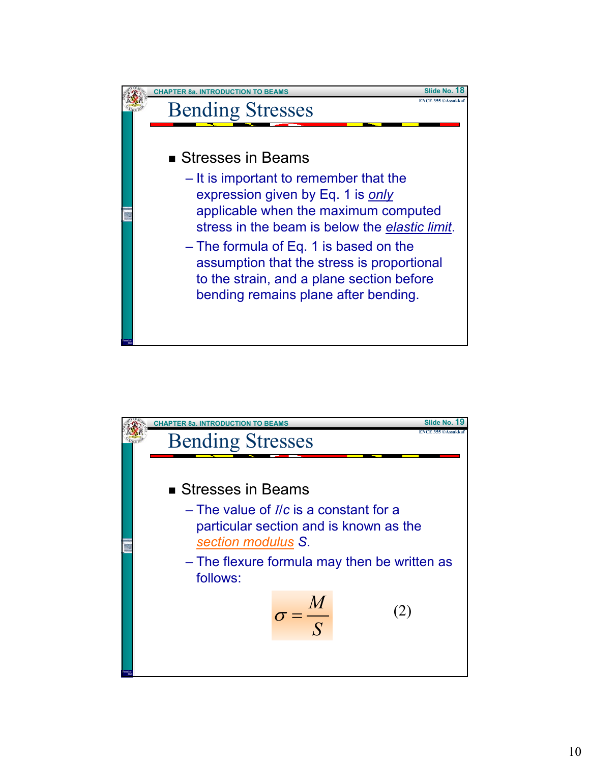

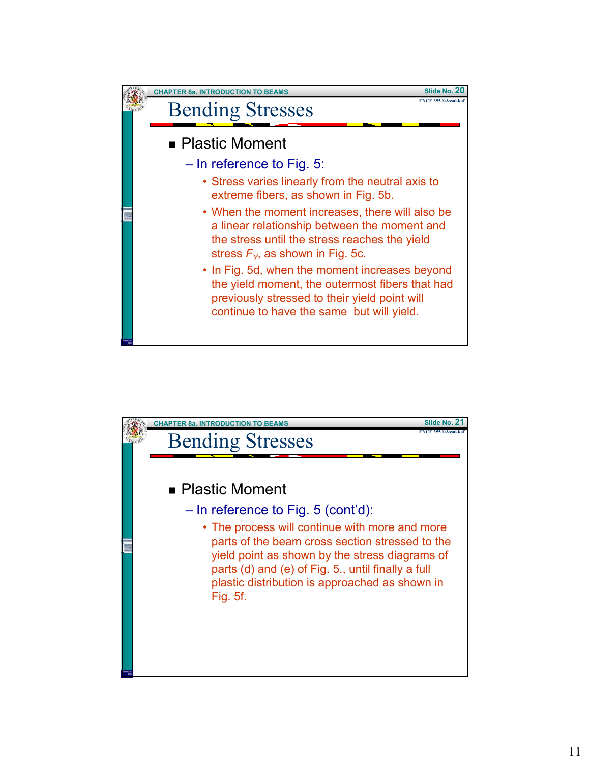

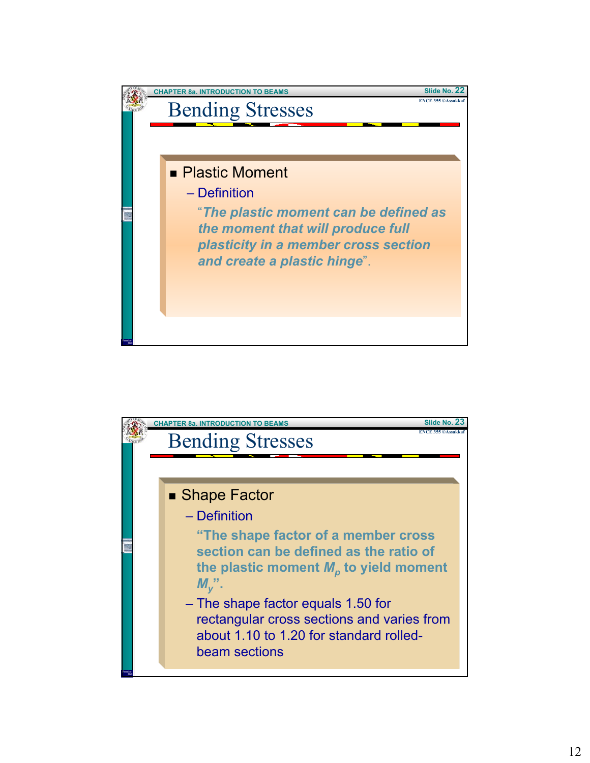

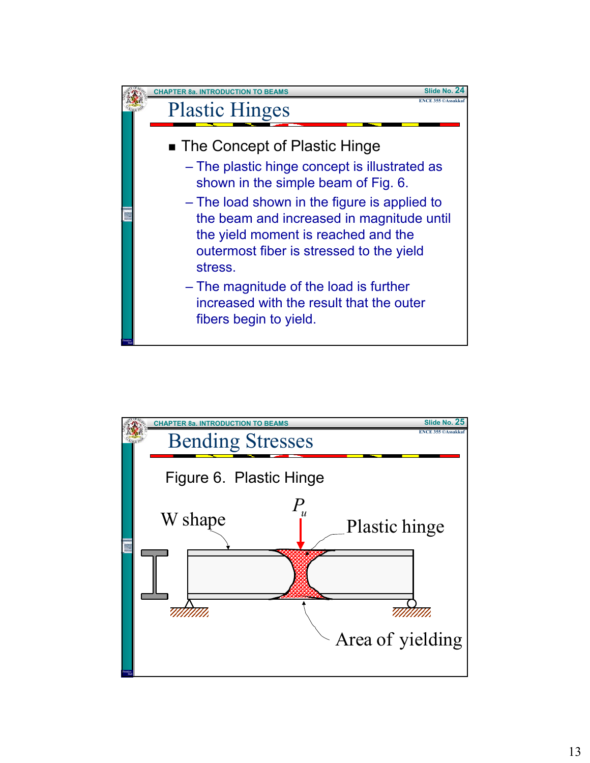

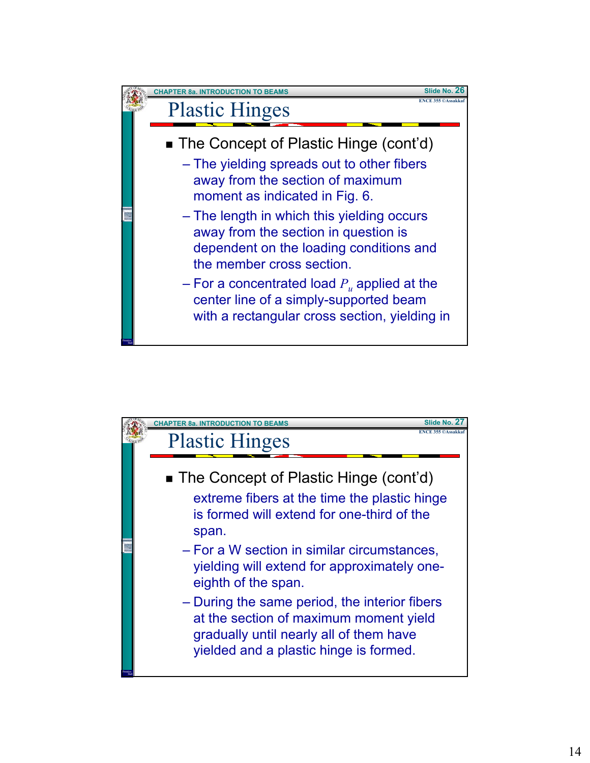